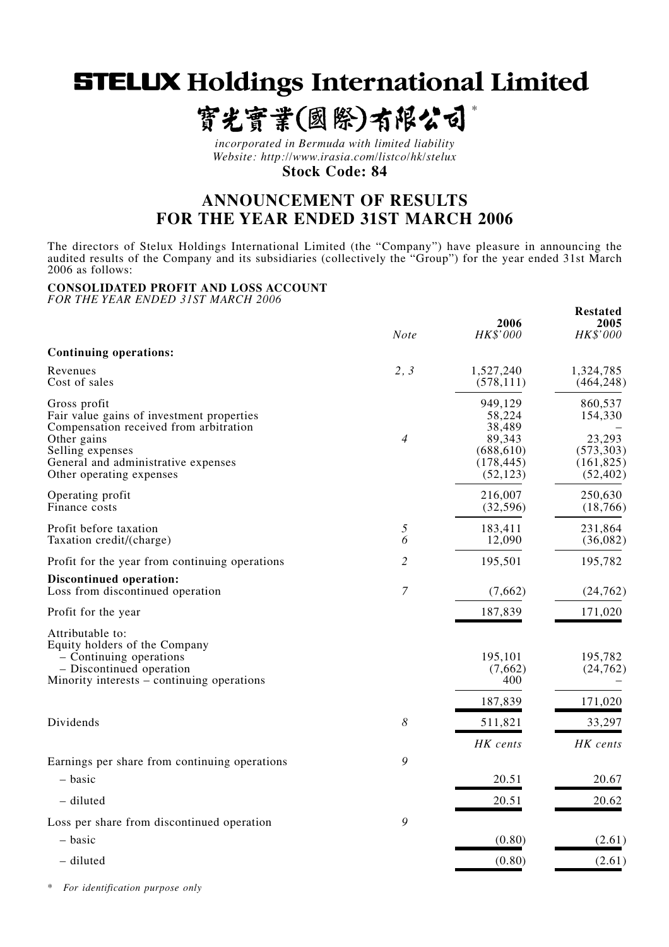**STELUX Holdings International Limited** 

寳光寳業(國際)有限公司

*\**

**Restated**

*incorporated in Bermuda with limited liability Website: http://www.irasia.com/listco/hk/stelux* **Stock Code: 84**

# **ANNOUNCEMENT OF RESULTS FOR THE YEAR ENDED 31ST MARCH 2006**

The directors of Stelux Holdings International Limited (the "Company") have pleasure in announcing the audited results of the Company and its subsidiaries (collectively the "Group") for the year ended 31st March 2006 as follows:

# **CONSOLIDATED PROFIT AND LOSS ACCOUNT**

*FOR THE YEAR ENDED 31ST MARCH 2006*

|                                                                                                                                                                                                           | <b>Note</b>    | 2006<br>HK\$'000                                                               | 2005<br>HK\$'000                                                      |
|-----------------------------------------------------------------------------------------------------------------------------------------------------------------------------------------------------------|----------------|--------------------------------------------------------------------------------|-----------------------------------------------------------------------|
| Continuing operations:                                                                                                                                                                                    |                |                                                                                |                                                                       |
| Revenues<br>Cost of sales                                                                                                                                                                                 | 2, 3           | 1,527,240<br>(578, 111)                                                        | 1,324,785<br>(464, 248)                                               |
| Gross profit<br>Fair value gains of investment properties<br>Compensation received from arbitration<br>Other gains<br>Selling expenses<br>General and administrative expenses<br>Other operating expenses | $\overline{4}$ | 949,129<br>58,224<br>38,489<br>89,343<br>(688, 610)<br>(178, 445)<br>(52, 123) | 860,537<br>154,330<br>23,293<br>(573, 303)<br>(161, 825)<br>(52, 402) |
| Operating profit<br>Finance costs                                                                                                                                                                         |                | 216,007<br>(32, 596)                                                           | 250,630<br>(18,766)                                                   |
| Profit before taxation<br>Taxation credit/(charge)                                                                                                                                                        | 5<br>6         | 183,411<br>12,090                                                              | 231,864<br>(36,082)                                                   |
| Profit for the year from continuing operations                                                                                                                                                            | 2              | 195,501                                                                        | 195,782                                                               |
| Discontinued operation:<br>Loss from discontinued operation                                                                                                                                               | $\overline{7}$ | (7,662)                                                                        | (24, 762)                                                             |
| Profit for the year                                                                                                                                                                                       |                | 187,839                                                                        | 171,020                                                               |
| Attributable to:<br>Equity holders of the Company<br>- Continuing operations<br>- Discontinued operation<br>Minority interests – continuing operations                                                    |                | 195,101<br>(7,662)<br>400<br>187,839                                           | 195,782<br>(24, 762)<br>171,020                                       |
| Dividends                                                                                                                                                                                                 | 8              | 511,821                                                                        | 33,297                                                                |
|                                                                                                                                                                                                           |                | HK cents                                                                       | HK cents                                                              |
| Earnings per share from continuing operations<br>- basic                                                                                                                                                  | 9              | 20.51                                                                          | 20.67                                                                 |
| - diluted                                                                                                                                                                                                 |                | 20.51                                                                          | 20.62                                                                 |
| Loss per share from discontinued operation                                                                                                                                                                | 9              |                                                                                |                                                                       |
| – basic                                                                                                                                                                                                   |                | (0.80)                                                                         | (2.61)                                                                |
| - diluted                                                                                                                                                                                                 |                | (0.80)                                                                         | (2.61)                                                                |

*\* For identification purpose only*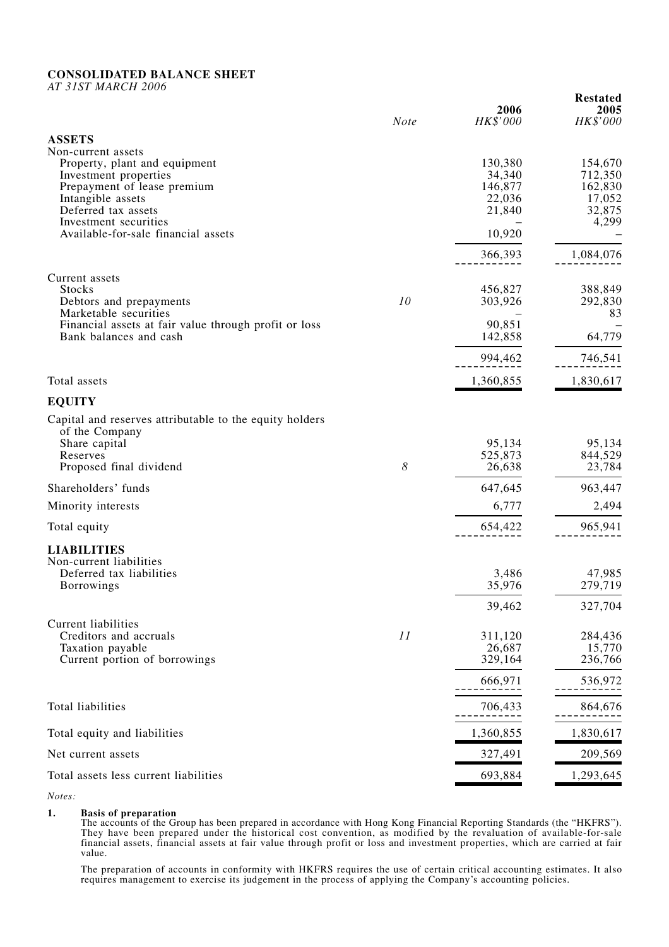# **CONSOLIDATED BALANCE SHEET**

*AT 31ST MARCH 2006*

|                                                                                |             | 2006              | wouattu<br>2005   |
|--------------------------------------------------------------------------------|-------------|-------------------|-------------------|
|                                                                                | <b>Note</b> | HK\$'000          | HK\$'000          |
| <b>ASSETS</b><br>Non-current assets                                            |             |                   |                   |
| Property, plant and equipment                                                  |             | 130,380           | 154,670           |
| Investment properties                                                          |             | 34,340            | 712,350           |
| Prepayment of lease premium                                                    |             | 146,877           | 162,830           |
| Intangible assets<br>Deferred tax assets                                       |             | 22,036<br>21,840  | 17,052<br>32,875  |
| Investment securities                                                          |             |                   | 4,299             |
| Available-for-sale financial assets                                            |             | 10,920            |                   |
|                                                                                |             | 366,393           | 1,084,076         |
| Current assets                                                                 |             |                   |                   |
| <b>Stocks</b>                                                                  |             | 456,827           | 388,849           |
| Debtors and prepayments                                                        | 10          | 303,926           | 292,830           |
| Marketable securities<br>Financial assets at fair value through profit or loss |             | 90,851            | 83                |
| Bank balances and cash                                                         |             | 142,858           | 64,779            |
|                                                                                |             | 994,462           | 746,541           |
| Total assets                                                                   |             | 1,360,855         | 1,830,617         |
| <b>EQUITY</b>                                                                  |             |                   |                   |
| Capital and reserves attributable to the equity holders                        |             |                   |                   |
| of the Company                                                                 |             |                   |                   |
| Share capital                                                                  |             | 95,134            | 95,134            |
| Reserves<br>Proposed final dividend                                            | 8           | 525,873<br>26,638 | 844,529<br>23,784 |
| Shareholders' funds                                                            |             | 647,645           | 963,447           |
| Minority interests                                                             |             | 6,777             | 2,494             |
| Total equity                                                                   |             | 654,422           | 965,941           |
| <b>LIABILITIES</b>                                                             |             |                   |                   |
| Non-current liabilities                                                        |             |                   |                   |
| Deferred tax liabilities                                                       |             | 3,486             | 47,985            |
| <b>Borrowings</b>                                                              |             | 35,976            | 279,719           |
|                                                                                |             | 39,462            | 327,704           |
| <b>Current liabilities</b>                                                     |             |                   |                   |
| Creditors and accruals<br>Taxation payable                                     | 11          | 311,120<br>26,687 | 284,436<br>15,770 |
| Current portion of borrowings                                                  |             | 329,164           | 236,766           |
|                                                                                |             | 666,971           | 536,972           |
| Total liabilities                                                              |             | 706,433           | 864,676           |
| Total equity and liabilities                                                   |             | 1,360,855         | 1,830,617         |
|                                                                                |             |                   |                   |
| Net current assets                                                             |             | 327,491           | 209,569           |
| Total assets less current liabilities                                          |             | 693,884           | 1,293,645         |

**Restated**

*Notes:*

### **1. Basis of preparation**

The accounts of the Group has been prepared in accordance with Hong Kong Financial Reporting Standards (the "HKFRS"). They have been prepared under the historical cost convention, as modified by the revaluation of available-for-sale financial assets, financial assets at fair value through profit or loss and investment properties, which are carried at fair value.

The preparation of accounts in conformity with HKFRS requires the use of certain critical accounting estimates. It also requires management to exercise its judgement in the process of applying the Company's accounting policies.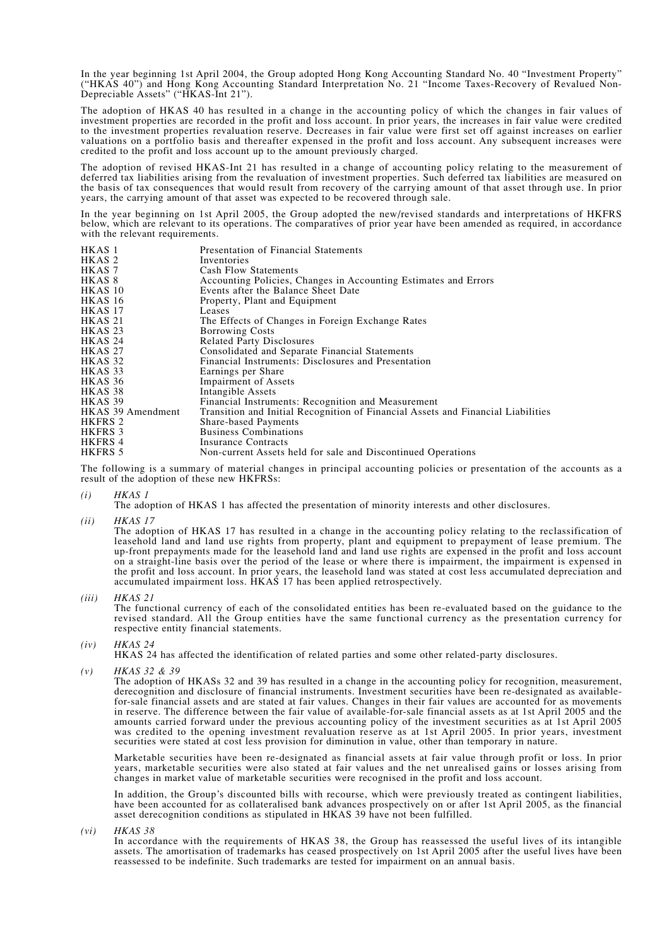In the year beginning 1st April 2004, the Group adopted Hong Kong Accounting Standard No. 40 "Investment Property" ("HKAS 40") and Hong Kong Accounting Standard Interpretation No. 21 "Income Taxes-Recovery of Revalued Non-Depreciable Assets" ("HKAS-Int 21").

The adoption of HKAS 40 has resulted in a change in the accounting policy of which the changes in fair values of investment properties are recorded in the profit and loss account. In prior years, the increases in fair value were credited to the investment properties revaluation reserve. Decreases in fair value were first set off against increases on earlier valuations on a portfolio basis and thereafter expensed in the profit and loss account. Any subsequent increases were credited to the profit and loss account up to the amount previously charged.

The adoption of revised HKAS-Int 21 has resulted in a change of accounting policy relating to the measurement of deferred tax liabilities arising from the revaluation of investment properties. Such deferred tax liabilities are measured on the basis of tax consequences that would result from recovery of the carrying amount of that asset through use. In prior years, the carrying amount of that asset was expected to be recovered through sale.

In the year beginning on 1st April 2005, the Group adopted the new/revised standards and interpretations of HKFRS below, which are relevant to its operations. The comparatives of prior year have been amended as required, in accordance with the relevant requirements.

| HKAS 1            | Presentation of Financial Statements                                             |
|-------------------|----------------------------------------------------------------------------------|
| HKAS <sub>2</sub> | Inventories                                                                      |
| HKAS <sub>7</sub> | Cash Flow Statements                                                             |
| HKAS <sup>8</sup> | Accounting Policies, Changes in Accounting Estimates and Errors                  |
| HKAS 10           | Events after the Balance Sheet Date                                              |
| HKAS 16           | Property, Plant and Equipment                                                    |
| HKAS 17           | Leases                                                                           |
| HKAS 21           | The Effects of Changes in Foreign Exchange Rates                                 |
| HKAS 23           | <b>Borrowing Costs</b>                                                           |
| HKAS 24           | <b>Related Party Disclosures</b>                                                 |
| HKAS 27           | Consolidated and Separate Financial Statements                                   |
| HKAS 32           | Financial Instruments: Disclosures and Presentation                              |
| HKAS 33           | Earnings per Share                                                               |
| HKAS 36           | <b>Impairment of Assets</b>                                                      |
| HKAS 38           | Intangible Assets                                                                |
| HKAS 39           | Financial Instruments: Recognition and Measurement                               |
| HKAS 39 Amendment | Transition and Initial Recognition of Financial Assets and Financial Liabilities |
| HKFRS 2           | <b>Share-based Payments</b>                                                      |
| HKFRS 3           | <b>Business Combinations</b>                                                     |
| HKFRS 4           | Insurance Contracts                                                              |
| HKFRS 5           | Non-current Assets held for sale and Discontinued Operations                     |
|                   |                                                                                  |

The following is a summary of material changes in principal accounting policies or presentation of the accounts as a result of the adoption of these new HKFRSs:

*(i) HKAS 1*

The adoption of HKAS 1 has affected the presentation of minority interests and other disclosures.

*(ii) HKAS 17*

The adoption of HKAS 17 has resulted in a change in the accounting policy relating to the reclassification of leasehold land and land use rights from property, plant and equipment to prepayment of lease premium. The up-front prepayments made for the leasehold land and land use rights are expensed in the profit and loss account on a straight-line basis over the period of the lease or where there is impairment, the impairment is expensed in the profit and loss account. In prior years, the leasehold land was stated at cost less accumulated depreciation and accumulated impairment loss. HKAS 17 has been applied retrospectively.

*(iii) HKAS 21*

The functional currency of each of the consolidated entities has been re-evaluated based on the guidance to the revised standard. All the Group entities have the same functional currency as the presentation currency for respective entity financial statements.

*(iv) HKAS 24*

HKAS 24 has affected the identification of related parties and some other related-party disclosures.

*(v) HKAS 32 & 39*

The adoption of HKASs 32 and 39 has resulted in a change in the accounting policy for recognition, measurement, derecognition and disclosure of financial instruments. Investment securities have been re-designated as availablefor-sale financial assets and are stated at fair values. Changes in their fair values are accounted for as movements in reserve. The difference between the fair value of available-for-sale financial assets as at 1st April 2005 and the amounts carried forward under the previous accounting policy of the investment securities as at 1st April 2005 was credited to the opening investment revaluation reserve as at 1st April 2005. In prior years, investment securities were stated at cost less provision for diminution in value, other than temporary in nature.

Marketable securities have been re-designated as financial assets at fair value through profit or loss. In prior years, marketable securities were also stated at fair values and the net unrealised gains or losses arising from changes in market value of marketable securities were recognised in the profit and loss account.

In addition, the Group's discounted bills with recourse, which were previously treated as contingent liabilities, have been accounted for as collateralised bank advances prospectively on or after 1st April 2005, as the financial asset derecognition conditions as stipulated in HKAS 39 have not been fulfilled.

*(vi) HKAS 38*

In accordance with the requirements of HKAS 38, the Group has reassessed the useful lives of its intangible assets. The amortisation of trademarks has ceased prospectively on 1st April 2005 after the useful lives have been reassessed to be indefinite. Such trademarks are tested for impairment on an annual basis.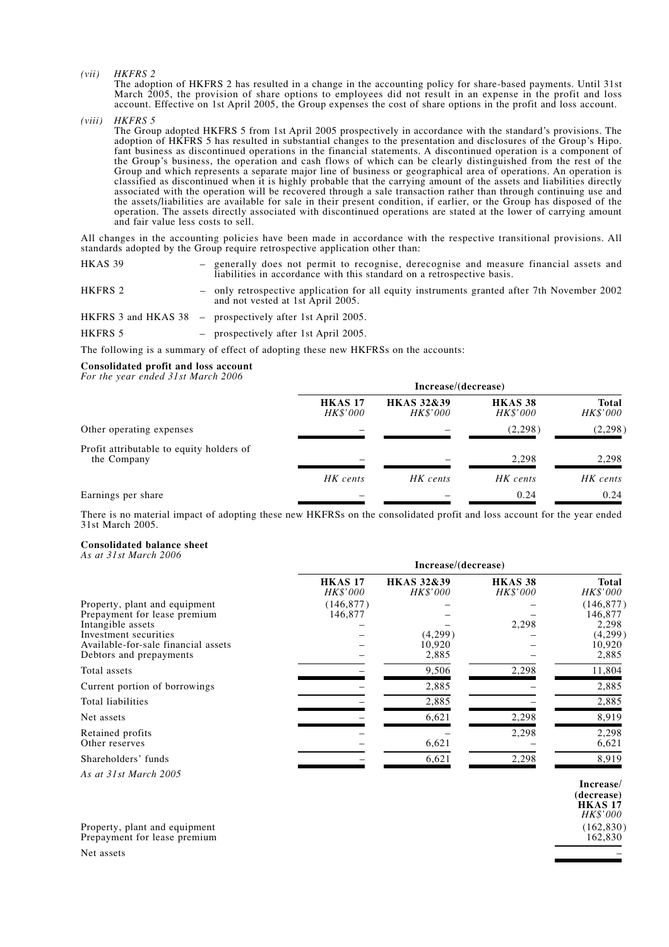*(vii) HKFRS 2*

The adoption of HKFRS 2 has resulted in a change in the accounting policy for share-based payments. Until 31st March 2005, the provision of share options to employees did not result in an expense in the profit and loss account. Effective on 1st April 2005, the Group expenses the cost of share options in the profit and loss account.

*(viii) HKFRS 5*

The Group adopted HKFRS 5 from 1st April 2005 prospectively in accordance with the standard's provisions. The adoption of HKFRS 5 has resulted in substantial changes to the presentation and disclosures of the Group's Hipo. fant business as discontinued operations in the financial statements. A discontinued operation is a component of the Group's business, the operation and cash flows of which can be clearly distinguished from the rest of the Group and which represents a separate major line of business or geographical area of operations. An operation is classified as discontinued when it is highly probable that the carrying amount of the assets and liabilities directly associated with the operation will be recovered through a sale transaction rather than through continuing use and the assets/liabilities are available for sale in their present condition, if earlier, or the Group has disposed of the operation. The assets directly associated with discontinued operations are stated at the lower of carrying amount and fair value less costs to sell.

All changes in the accounting policies have been made in accordance with the respective transitional provisions. All standards adopted by the Group require retrospective application other than:

| HKAS 39 | - generally does not permit to recognise, derecognise and measure financial assets and<br>liabilities in accordance with this standard on a retrospective basis. |
|---------|------------------------------------------------------------------------------------------------------------------------------------------------------------------|
| HKFRS 2 | - only retrospective application for all equity instruments granted after 7th November 2002<br>and not vested at 1st April 2005.                                 |
|         | HKFRS 3 and HKAS $38$ – prospectively after 1st April 2005.                                                                                                      |
| HKFRS 5 | - prospectively after 1st April 2005.                                                                                                                            |

The following is a summary of effect of adopting these new HKFRSs on the accounts:

#### **Consolidated profit and loss account**

*For the year ended 31st March 2006*

|                                                         | Increase/(decrease)               |                                          |                                       |                          |  |  |  |
|---------------------------------------------------------|-----------------------------------|------------------------------------------|---------------------------------------|--------------------------|--|--|--|
|                                                         | <b>HKAS 17</b><br><i>HK\$'000</i> | <b>HKAS 32&amp;39</b><br><i>HK\$'000</i> | HKAS <sub>38</sub><br><i>HK\$'000</i> | <b>Total</b><br>HK\$'000 |  |  |  |
| Other operating expenses                                |                                   |                                          | (2,298)                               | (2,298)                  |  |  |  |
| Profit attributable to equity holders of<br>the Company |                                   |                                          | 2.298                                 | 2,298                    |  |  |  |
|                                                         | HK cents                          | HK cents                                 | HK cents                              | HK cents                 |  |  |  |
| Earnings per share                                      |                                   |                                          | 0.24                                  | 0.24                     |  |  |  |

There is no material impact of adopting these new HKFRSs on the consolidated profit and loss account for the year ended 31st March 2005.

#### **Consolidated balance sheet**

*As at 31st March 2006*

|                                                                                         | Increase/(decrease)        |                                   |                                |                                |  |  |  |  |
|-----------------------------------------------------------------------------------------|----------------------------|-----------------------------------|--------------------------------|--------------------------------|--|--|--|--|
|                                                                                         | <b>HKAS 17</b><br>HK\$'000 | <b>HKAS 32&amp;39</b><br>HK\$'000 | HKAS <sub>38</sub><br>HK\$'000 | <b>Total</b><br>HK\$'000       |  |  |  |  |
| Property, plant and equipment<br>Prepayment for lease premium<br>Intangible assets      | (146, 877)<br>146,877      |                                   | 2,298                          | (146, 877)<br>146,877<br>2,298 |  |  |  |  |
| Investment securities<br>Available-for-sale financial assets<br>Debtors and prepayments |                            | (4,299)<br>10,920<br>2,885        |                                | (4,299)<br>10,920<br>2,885     |  |  |  |  |
| Total assets                                                                            |                            | 9,506                             | 2,298                          | 11,804                         |  |  |  |  |
| Current portion of borrowings                                                           |                            | 2,885                             |                                | 2,885                          |  |  |  |  |
| Total liabilities                                                                       |                            | 2,885                             |                                | 2,885                          |  |  |  |  |
| Net assets                                                                              |                            | 6,621                             | 2,298                          | 8,919                          |  |  |  |  |
| Retained profits<br>Other reserves                                                      |                            | 6,621                             | 2,298                          | 2,298<br>6,621                 |  |  |  |  |
| Shareholders' funds                                                                     |                            | 6,621                             | 2,298                          | 8,919                          |  |  |  |  |
|                                                                                         |                            |                                   |                                |                                |  |  |  |  |

*As at 31st March 2005*

Property, plant and equipment (162,830)<br>
Prepayment for lease premium (162,830) Prepayment for lease premium Net assets  $\overline{\phantom{a}}$ 

**Increase/ (decrease) HKAS 17** *HK\$'000*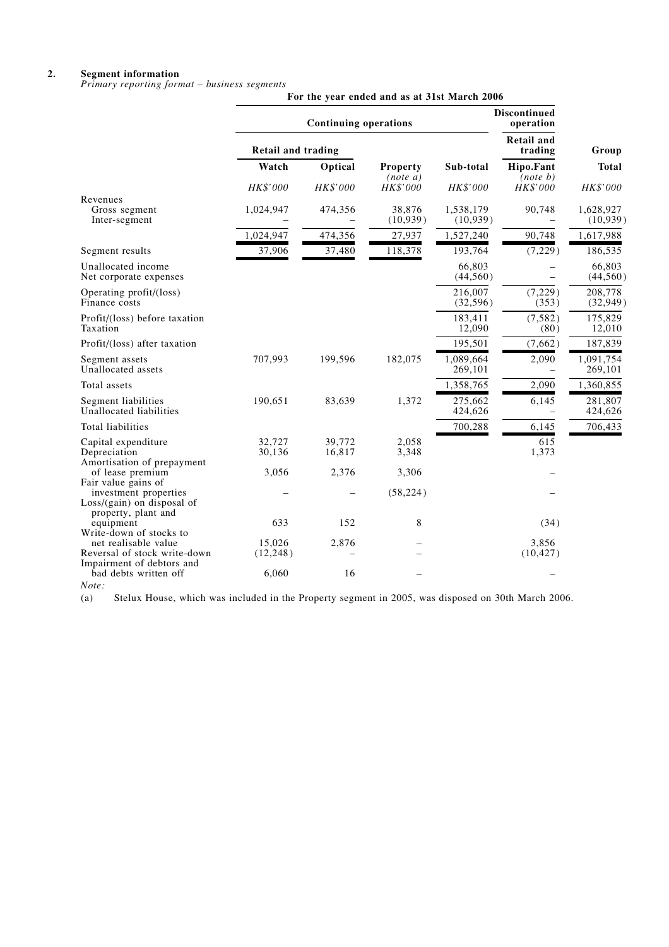#### **2. Segment information**

*Primary reporting format – business segments*

|                                                                                                   | For the year ended and as at 31st March 2006 |                              |                             |                                  |                              |                        |  |  |
|---------------------------------------------------------------------------------------------------|----------------------------------------------|------------------------------|-----------------------------|----------------------------------|------------------------------|------------------------|--|--|
|                                                                                                   |                                              | <b>Continuing operations</b> |                             | <b>Discontinued</b><br>operation |                              |                        |  |  |
|                                                                                                   | <b>Retail and trading</b>                    |                              |                             |                                  | <b>Retail and</b><br>trading | Group                  |  |  |
|                                                                                                   | Watch                                        | Optical                      | <b>Property</b><br>(note a) | Sub-total                        | Hipo.Fant<br>(note b)        | <b>Total</b>           |  |  |
|                                                                                                   | HK\$'000                                     | HK\$'000                     | HK\$'000                    | HK\$'000                         | HK\$'000                     | HK\$'000               |  |  |
| Revenues<br>Gross segment<br>Inter-segment                                                        | 1,024,947                                    | 474,356                      | 38,876<br>(10,939)          | 1,538,179<br>(10,939)            | 90,748                       | 1,628,927<br>(10, 939) |  |  |
|                                                                                                   | 1,024,947                                    | 474,356                      | 27,937                      | 1,527,240                        | 90,748                       | 1,617,988              |  |  |
| Segment results                                                                                   | 37,906                                       | 37,480                       | 118,378                     | 193,764                          | (7,229)                      | 186,535                |  |  |
| Unallocated income<br>Net corporate expenses                                                      |                                              |                              |                             | 66,803<br>(44, 560)              |                              | 66,803<br>(44, 560)    |  |  |
| Operating profit/(loss)<br>Finance costs                                                          |                                              |                              |                             | 216,007<br>(32, 596)             | (7,229)<br>(353)             | 208,778<br>(32, 949)   |  |  |
| Profit/(loss) before taxation<br>Taxation                                                         |                                              |                              |                             | 183,411<br>12,090                | (7, 582)<br>(80)             | 175,829<br>12,010      |  |  |
| Profit/(loss) after taxation                                                                      |                                              |                              |                             | 195,501                          | (7,662)                      | 187,839                |  |  |
| Segment assets<br>Unallocated assets                                                              | 707,993                                      | 199,596                      | 182,075                     | 1,089,664<br>269,101             | 2,090                        | 1,091,754<br>269,101   |  |  |
| Total assets                                                                                      |                                              |                              |                             | 1,358,765                        | 2,090                        | 1,360,855              |  |  |
| Segment liabilities<br>Unallocated liabilities                                                    | 190,651                                      | 83,639                       | 1,372                       | 275,662<br>424,626               | 6,145                        | 281,807<br>424,626     |  |  |
| Total liabilities                                                                                 |                                              |                              |                             | 700,288                          | 6,145                        | 706,433                |  |  |
| Capital expenditure<br>Depreciation                                                               | 32,727<br>30,136                             | 39,772<br>16,817             | 2,058<br>3,348              |                                  | 615<br>1,373                 |                        |  |  |
| Amortisation of prepayment<br>of lease premium                                                    | 3,056                                        | 2,376                        | 3,306                       |                                  |                              |                        |  |  |
| Fair value gains of<br>investment properties<br>Loss/(gain) on disposal of<br>property, plant and |                                              |                              | (58, 224)                   |                                  |                              |                        |  |  |
| equipment                                                                                         | 633                                          | 152                          | 8                           |                                  | (34)                         |                        |  |  |
| Write-down of stocks to<br>net realisable value<br>Reversal of stock write-down                   | 15.026<br>(12, 248)                          | 2,876                        |                             |                                  | 3.856<br>(10, 427)           |                        |  |  |
| Impairment of debtors and<br>bad debts written off                                                | 6,060                                        | 16                           |                             |                                  |                              |                        |  |  |

*Note:* Stelux House, which was included in the Property segment in 2005, was disposed on 30th March 2006.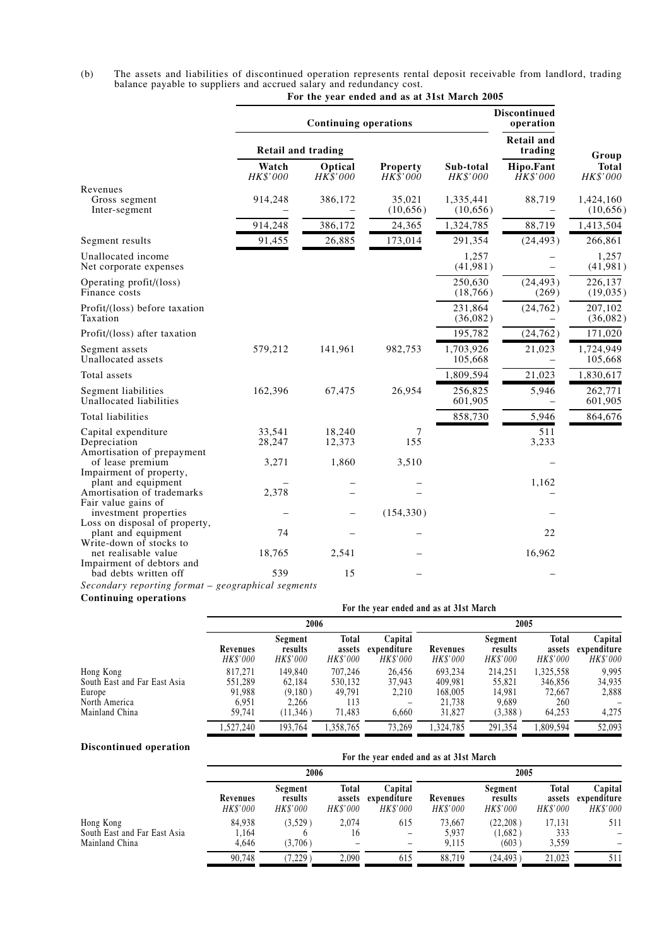| (b) | The assets and liabilities of discontinued operation represents rental deposit receivable from landlord, trading |  |
|-----|------------------------------------------------------------------------------------------------------------------|--|
|     | balance payable to suppliers and accrued salary and redundancy cost.                                             |  |

|                                                                            |                           | <b>Continuing operations</b> | Discontinued<br>operation |                       |                              |                          |
|----------------------------------------------------------------------------|---------------------------|------------------------------|---------------------------|-----------------------|------------------------------|--------------------------|
|                                                                            | <b>Retail and trading</b> |                              |                           |                       | <b>Retail and</b><br>trading | Group                    |
|                                                                            | Watch<br>HK\$'000         | Optical<br>HK\$'000          | Property<br>HK\$'000      | Sub-total<br>HK\$'000 | Hipo.Fant<br>HK\$'000        | <b>Total</b><br>HK\$'000 |
| Revenues<br>Gross segment<br>Inter-segment                                 | 914,248                   | 386,172                      | 35,021<br>(10,656)        | 1,335,441<br>(10,656) | 88,719                       | 1,424,160<br>(10,656)    |
|                                                                            | 914,248                   | 386,172                      | 24,365                    | 1,324,785             | 88,719                       | 1,413,504                |
| Segment results                                                            | 91,455                    | 26,885                       | 173,014                   | 291,354               | (24, 493)                    | 266,861                  |
| Unallocated income<br>Net corporate expenses                               |                           |                              |                           | 1,257<br>(41,981)     |                              | 1,257<br>(41, 981)       |
| Operating profit/(loss)<br>Finance costs                                   |                           |                              |                           | 250,630<br>(18, 766)  | (24, 493)<br>(269)           | 226,137<br>(19,035)      |
| Profit/(loss) before taxation<br>Taxation                                  |                           |                              |                           | 231,864<br>(36,082)   | (24, 762)                    | 207,102<br>(36,082)      |
| Profit/(loss) after taxation                                               |                           |                              |                           | 195,782               | (24, 762)                    | 171,020                  |
| Segment assets<br>Unallocated assets                                       | 579,212                   | 141,961                      | 982,753                   | 1,703,926<br>105,668  | 21,023                       | 1,724,949<br>105,668     |
| Total assets                                                               |                           |                              |                           | 1,809,594             | 21,023                       | 1,830,617                |
| Segment liabilities<br>Unallocated liabilities                             | 162,396                   | 67,475                       | 26,954                    | 256,825<br>601,905    | 5,946                        | 262,771<br>601,905       |
| Total liabilities                                                          |                           |                              |                           | 858,730               | 5,946                        | 864,676                  |
| Capital expenditure<br>Depreciation<br>Amortisation of prepayment          | 33,541<br>28,247          | 18,240<br>12,373             | 7<br>155                  |                       | 511<br>3,233                 |                          |
| of lease premium<br>Impairment of property,                                | 3,271                     | 1,860                        | 3,510                     |                       |                              |                          |
| plant and equipment<br>Amortisation of trademarks<br>Fair value gains of   | 2,378                     |                              |                           |                       | 1,162                        |                          |
| investment properties<br>Loss on disposal of property,                     |                           |                              | (154, 330)                |                       |                              |                          |
| plant and equipment<br>Write-down of stocks to                             | 74                        |                              |                           |                       | 22                           |                          |
| net realisable value<br>Impairment of debtors and<br>bad debts written off | 18,765<br>539             | 2,541<br>15                  |                           |                       | 16,962                       |                          |
| $\sim$<br>$\mathbf{r}$<br>$\sim$ $\sim$ $\sim$                             | $\cdots$                  |                              |                           |                       |                              |                          |

# **For the year ended and as at 31st March 2005**

*Secondary reporting format – geographical segments*

# **Continuing operations**

|                                                                                        |                                                 | For the year ended and as at 31st March            |                                               |                                           |                                                   |                                                 |                                                 |                                           |  |
|----------------------------------------------------------------------------------------|-------------------------------------------------|----------------------------------------------------|-----------------------------------------------|-------------------------------------------|---------------------------------------------------|-------------------------------------------------|-------------------------------------------------|-------------------------------------------|--|
|                                                                                        |                                                 | 2006                                               |                                               |                                           |                                                   | 2005                                            |                                                 |                                           |  |
|                                                                                        | Revenues<br>HK\$'000                            | Segment<br>results<br><i>HK\$'000</i>              | <b>Total</b><br>assets<br>HK\$'000            | Capital<br>expenditure<br><i>HK\$'000</i> | Revenues<br><i>HK\$'000</i>                       | Segment<br>results<br><i>HK\$'000</i>           | <b>Total</b><br>assets<br><i>HK\$'000</i>       | Capital<br>expenditure<br><b>HK\$'000</b> |  |
| Hong Kong<br>South East and Far East Asia<br>Europe<br>North America<br>Mainland China | 817.271<br>551.289<br>91.988<br>6.951<br>59,741 | 149,840<br>62.184<br>(9,180)<br>2.266<br>(11, 346) | 707.246<br>530.132<br>49.791<br>113<br>71,483 | 26.456<br>37.943<br>2.210<br>6,660        | 693.234<br>409.981<br>168,005<br>21.738<br>31,827 | 214.251<br>55,821<br>14.981<br>9.689<br>(3,388) | 1,325,558<br>346,856<br>72,667<br>260<br>64,253 | 9.995<br>34,935<br>2,888<br>4,275         |  |
|                                                                                        | 1.527.240                                       | 193.764                                            | 1,358,765                                     | 73,269                                    | 1.324.785                                         | 291.354                                         | 1,809,594                                       | 52,093                                    |  |

# **Discontinued operation**

| ртясоптинией ореганон                                       |                          | For the year ended and as at 31st March |                                           |                                    |                          |                                |                                    |                                           |
|-------------------------------------------------------------|--------------------------|-----------------------------------------|-------------------------------------------|------------------------------------|--------------------------|--------------------------------|------------------------------------|-------------------------------------------|
|                                                             | 2006                     |                                         |                                           |                                    | 2005                     |                                |                                    |                                           |
|                                                             | Revenues<br>HK\$'000     | Segment<br>results<br>HK\$'000          | <b>Total</b><br>assets<br><i>HK\$'000</i> | Capital<br>expenditure<br>HK\$'000 | Revenues<br>HK\$'000     | Segment<br>results<br>HK\$'000 | <b>Total</b><br>assets<br>HK\$'000 | Capital<br>expenditure<br><b>HK\$'000</b> |
| Hong Kong<br>South East and Far East Asia<br>Mainland China | 84.938<br>1.164<br>4.646 | (3,529)<br>(3,706)                      | 2.074<br>16                               | 615<br>-                           | 73.667<br>5.937<br>9.115 | (22.208)<br>(1,682)<br>(603)   | 17.131<br>333<br>3,559             | 511<br>-<br>-                             |
|                                                             | 90.748                   | $7,229$ )                               | 2.090                                     | 615                                | 88.719                   | (24.493)                       | 21.023                             | 511                                       |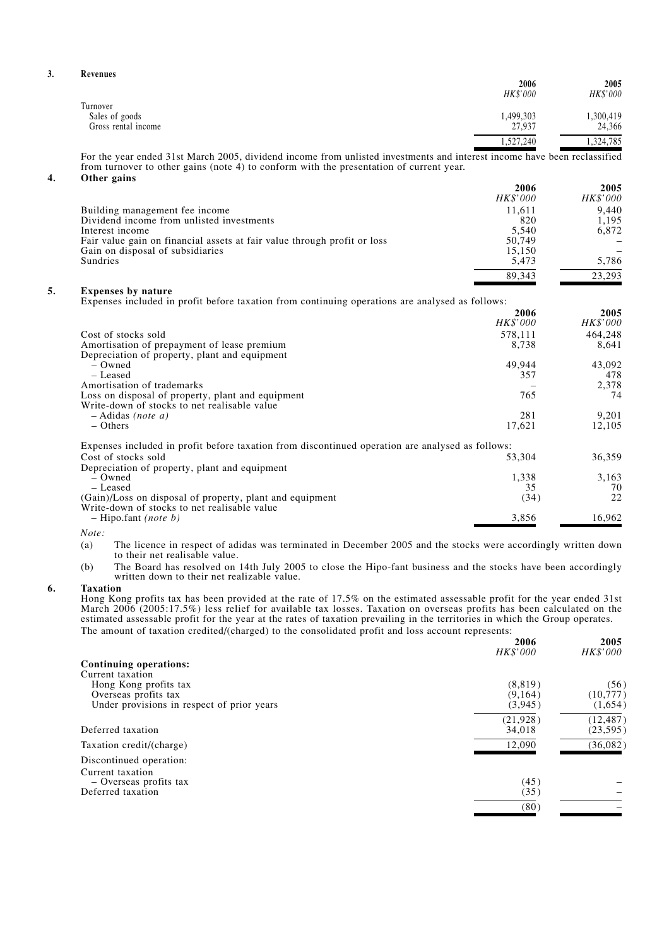| Revenues            | 2006      | 2005      |
|---------------------|-----------|-----------|
|                     | HK\$'000  | HK\$'000  |
| Turnover            |           |           |
| Sales of goods      | 1,499,303 | ,300,419  |
| Gross rental income | 27,937    | 24,366    |
|                     | 1,527,240 | 1,324,785 |

For the year ended 31st March 2005, dividend income from unlisted investments and interest income have been reclassified from turnover to other gains (note 4) to conform with the presentation of current year.

### **4. Other gains**

|                                                                          | 2006            | 2005            |
|--------------------------------------------------------------------------|-----------------|-----------------|
|                                                                          | <i>HK\$'000</i> | <b>HK\$'000</b> |
| Building management fee income                                           | 11.611          | 9.440           |
| Dividend income from unlisted investments                                | 820             | 1.195           |
| Interest income                                                          | 5.540           | 6.872           |
| Fair value gain on financial assets at fair value through profit or loss | 50,749          |                 |
| Gain on disposal of subsidiaries                                         | 15.150          |                 |
| Sundries                                                                 | 5.473           | 5.786           |
|                                                                          | 89.343          | 23.293          |

### **5. Expenses by nature**

Expenses included in profit before taxation from continuing operations are analysed as follows:

|                                                                                                  | 2006     | 2005     |
|--------------------------------------------------------------------------------------------------|----------|----------|
|                                                                                                  | HK\$'000 | HK\$'000 |
| Cost of stocks sold                                                                              | 578.111  | 464,248  |
| Amortisation of prepayment of lease premium                                                      | 8,738    | 8.641    |
| Depreciation of property, plant and equipment                                                    |          |          |
| – Owned                                                                                          | 49.944   | 43,092   |
| – Leased                                                                                         | 357      | 478      |
| Amortisation of trademarks                                                                       |          | 2,378    |
| Loss on disposal of property, plant and equipment                                                | 765      | 74       |
| Write-down of stocks to net realisable value                                                     |          |          |
| $-$ Adidas <i>(note a)</i>                                                                       | 281      | 9,201    |
| $-$ Others                                                                                       | 17,621   | 12,105   |
| Expenses included in profit before taxation from discontinued operation are analysed as follows: |          |          |
| Cost of stocks sold                                                                              | 53,304   | 36,359   |
| Depreciation of property, plant and equipment                                                    |          |          |
| – Owned                                                                                          | 1,338    | 3,163    |
| – Leased                                                                                         | 35       | 70       |
| (Gain)/Loss on disposal of property, plant and equipment                                         | (34)     | 22       |
| Write-down of stocks to net realisable value                                                     |          |          |
| $-$ Hipo.fant (note b)                                                                           | 3,856    | 16.962   |

*Note:*

- (a) The licence in respect of adidas was terminated in December 2005 and the stocks were accordingly written down to their net realisable value.
- (b) The Board has resolved on 14th July 2005 to close the Hipo-fant business and the stocks have been accordingly written down to their net realizable value.

#### **6. Taxation**

Hong Kong profits tax has been provided at the rate of 17.5% on the estimated assessable profit for the year ended 31st March 2006 (2005:17.5%) less relief for available tax losses. Taxation on overseas profits has been calculated on the estimated assessable profit for the year at the rates of taxation prevailing in the territories in which the Group operates. The amount of taxation credited/(charged) to the consolidated profit and loss account represents:

| the amount of tanaholi electrocy (ellargec) to the echoolicated profit and food account represents: | 2006<br><i>HK\$'000</i> | 2005<br><i>HK\$'000</i> |
|-----------------------------------------------------------------------------------------------------|-------------------------|-------------------------|
| Continuing operations:                                                                              |                         |                         |
| Current taxation                                                                                    |                         |                         |
| Hong Kong profits tax                                                                               | (8, 819)                | (56)                    |
| Overseas profits tax                                                                                | (9,164)                 | (10, 777)               |
| Under provisions in respect of prior years                                                          | (3,945)                 | (1,654)                 |
|                                                                                                     | (21, 928)               | (12, 487)               |
| Deferred taxation                                                                                   | 34,018                  | (23, 595)               |
| Taxation credit/(charge)                                                                            | 12,090                  | (36,082)                |
| Discontinued operation:                                                                             |                         |                         |
| Current taxation                                                                                    |                         |                         |
| - Overseas profits tax                                                                              | (45)                    |                         |
| Deferred taxation                                                                                   | (35)                    |                         |
|                                                                                                     | (80)                    |                         |

**3. Revenues**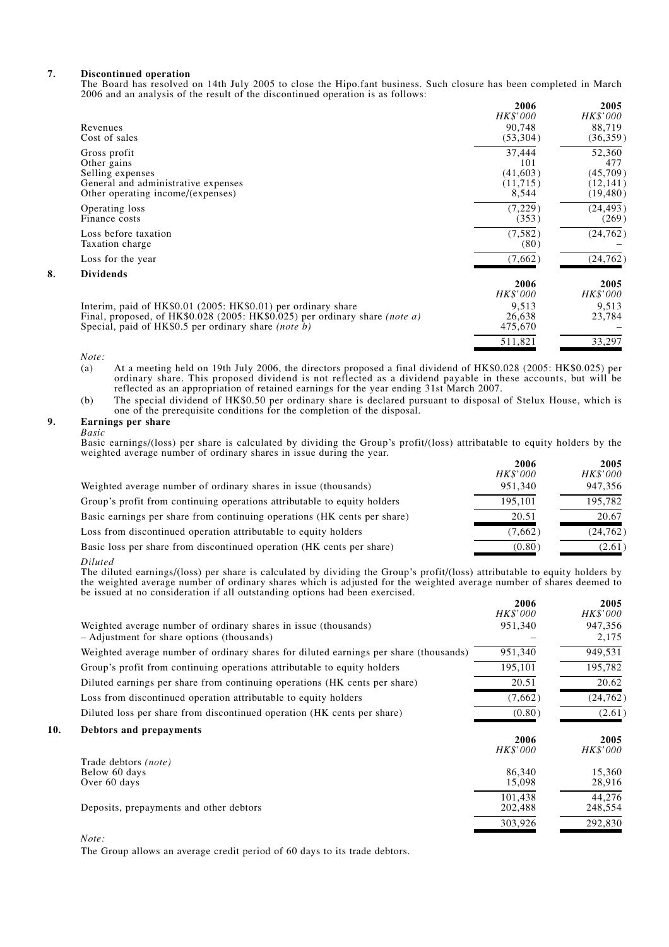#### **7. Discontinued operation**

The Board has resolved on 14th July 2005 to close the Hipo.fant business. Such closure has been completed in March 2006 and an analysis of the result of the discontinued operation is as follows:

|    |                                                                                    | 2006<br>HK\$'000 | 2005<br>HK\$'000 |
|----|------------------------------------------------------------------------------------|------------------|------------------|
|    | Revenues                                                                           | 90.748           | 88,719           |
|    | Cost of sales                                                                      | (53,304)         | (36,359)         |
|    | Gross profit                                                                       | 37,444           | 52,360           |
|    | Other gains                                                                        | 101              | 477              |
|    | Selling expenses                                                                   | (41,603)         | (45,709)         |
|    | General and administrative expenses                                                | (11,715)         | (12, 141)        |
|    | Other operating income/(expenses)                                                  | 8,544            | (19, 480)        |
|    | Operating loss                                                                     | (7,229)          | (24, 493)        |
|    | Finance costs                                                                      | (353)            | (269)            |
|    | Loss before taxation                                                               | (7, 582)         | (24, 762)        |
|    | Taxation charge                                                                    | (80)             |                  |
|    | Loss for the year                                                                  | (7,662)          | (24, 762)        |
| 8. | <b>Dividends</b>                                                                   |                  |                  |
|    |                                                                                    | 2006             | 2005             |
|    |                                                                                    | HK\$'000         | HK\$'000         |
|    | Interim, paid of HK\$0.01 (2005: HK\$0.01) per ordinary share                      | 9,513            | 9,513            |
|    | Final, proposed, of HK\$0.028 (2005: HK\$0.025) per ordinary share <i>(note a)</i> | 26,638           | 23,784           |
|    | Special, paid of HK\$0.5 per ordinary share <i>(note b)</i>                        | 475,670          |                  |
|    |                                                                                    | 511,821          | 33,297           |
|    |                                                                                    |                  |                  |

*Note:*

(a) At a meeting held on 19th July 2006, the directors proposed a final dividend of HK\$0.028 (2005: HK\$0.025) per ordinary share. This proposed dividend is not reflected as a dividend payable in these accounts, but will be reflected as an appropriation of retained earnings for the year ending 31st March 2007.

(b) The special dividend of HK\$0.50 per ordinary share is declared pursuant to disposal of Stelux House, which is one of the prerequisite conditions for the completion of the disposal.

#### **9. Earnings per share**

*Basic*

Basic earnings/(loss) per share is calculated by dividing the Group's profit/(loss) attribatable to equity holders by the weighted average number of ordinary shares in issue during the year.

|                                                                          | 2006     | 2005            |
|--------------------------------------------------------------------------|----------|-----------------|
|                                                                          | HK\$'000 | <i>HK\$'000</i> |
| Weighted average number of ordinary shares in issue (thousands)          | 951.340  | 947,356         |
| Group's profit from continuing operations attributable to equity holders | 195.101  | 195,782         |
| Basic earnings per share from continuing operations (HK cents per share) | 20.51    | 20.67           |
| Loss from discontinued operation attributable to equity holders          | (7,662)  | (24, 762)       |
| Basic loss per share from discontinued operation (HK cents per share)    | (0.80)   | (2.61)          |

*Diluted*

The diluted earnings/(loss) per share is calculated by dividing the Group's profit/(loss) attributable to equity holders by the weighted average number of ordinary shares which is adjusted for the weighted average number of shares deemed to be issued at no consideration if all outstanding options had been exercised.

|     |                                                                                       | 2006<br>HK\$'000 | 2005<br>HK\$'000 |
|-----|---------------------------------------------------------------------------------------|------------------|------------------|
|     | Weighted average number of ordinary shares in issue (thousands)                       | 951,340          | 947,356          |
|     | - Adjustment for share options (thousands)                                            |                  | 2,175            |
|     | Weighted average number of ordinary shares for diluted earnings per share (thousands) | 951,340          | 949,531          |
|     | Group's profit from continuing operations attributable to equity holders              | 195,101          | 195,782          |
|     | Diluted earnings per share from continuing operations (HK cents per share)            | 20.51            | 20.62            |
|     | Loss from discontinued operation attributable to equity holders                       | (7,662)          | (24, 762)        |
|     | Diluted loss per share from discontinued operation (HK cents per share)               | (0.80)           | (2.61)           |
| 10. | Debtors and prepayments                                                               |                  |                  |
|     |                                                                                       | 2006             | 2005             |
|     | Trade debtors <i>(note)</i>                                                           | HK\$'000         | HK\$'000         |
|     | Below 60 days                                                                         | 86,340           | 15,360           |
|     | Over 60 days                                                                          | 15,098           | 28,916           |
|     |                                                                                       | 101.438          | 44,276           |
|     | Deposits, prepayments and other debtors                                               | 202,488          | 248,554          |
|     |                                                                                       | 303,926          | 292,830          |
|     |                                                                                       |                  |                  |

*Note:*

The Group allows an average credit period of 60 days to its trade debtors.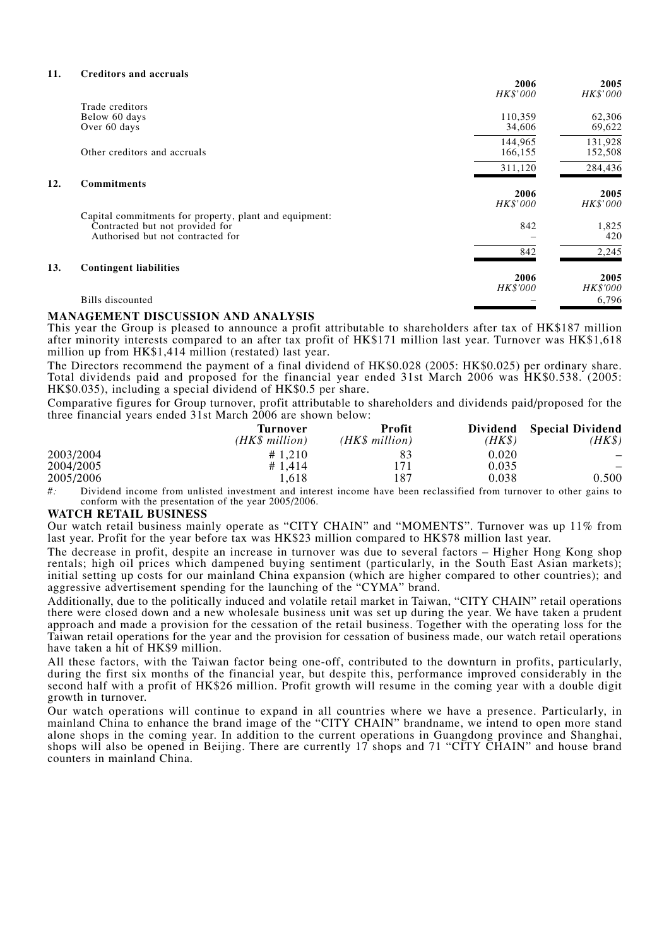#### **11. Creditors and accruals**

**12.** 

|     |                                                                                                                                | 2006<br>HK\$'000        | 2005<br>HK\$'000        |
|-----|--------------------------------------------------------------------------------------------------------------------------------|-------------------------|-------------------------|
|     | Trade creditors<br>Below 60 days<br>Over 60 days                                                                               | 110,359<br>34,606       | 62,306<br>69,622        |
|     |                                                                                                                                | 144,965                 | 131,928                 |
|     | Other creditors and accruals                                                                                                   | 166,155                 | 152,508                 |
|     |                                                                                                                                | 311,120                 | 284,436                 |
| 12. | <b>Commitments</b>                                                                                                             | 2006<br><b>HK\$'000</b> | 2005<br>HK\$'000        |
|     | Capital commitments for property, plant and equipment:<br>Contracted but not provided for<br>Authorised but not contracted for | 842                     | 1,825<br>420            |
|     |                                                                                                                                | 842                     | 2,245                   |
| 13. | <b>Contingent liabilities</b>                                                                                                  | 2006<br><b>HK\$'000</b> | 2005<br><b>HK\$'000</b> |
|     | Bills discounted                                                                                                               |                         | 6,796                   |

### **MANAGEMENT DISCUSSION AND ANALYSIS**

This year the Group is pleased to announce a profit attributable to shareholders after tax of HK\$187 million after minority interests compared to an after tax profit of HK\$171 million last year. Turnover was HK\$1,618 million up from HK\$1,414 million (restated) last year.

The Directors recommend the payment of a final dividend of HK\$0.028 (2005: HK\$0.025) per ordinary share. Total dividends paid and proposed for the financial year ended 31st March 2006 was HK\$0.538. (2005: HK\$0.035), including a special dividend of HK\$0.5 per share.

Comparative figures for Group turnover, profit attributable to shareholders and dividends paid/proposed for the three financial years ended 31st March 2006 are shown below:

|           | Turnover<br>(HK\$ million) | Profit<br>(HK\$ million) | <b>Dividend</b><br>(HK\$) | <b>Special Dividend</b><br>(HK\$ |
|-----------|----------------------------|--------------------------|---------------------------|----------------------------------|
| 2003/2004 | # 1.210                    | 83                       | 0.020                     |                                  |
| 2004/2005 | # 1.414                    | 171                      | 0.035                     |                                  |
| 2005/2006 | .618                       | 187                      | 0.038                     | 0.500                            |

*#:* Dividend income from unlisted investment and interest income have been reclassified from turnover to other gains to conform with the presentation of the year 2005/2006.

#### **WATCH RETAIL BUSINESS**

Our watch retail business mainly operate as "CITY CHAIN" and "MOMENTS". Turnover was up 11% from last year. Profit for the year before tax was HK\$23 million compared to HK\$78 million last year.

The decrease in profit, despite an increase in turnover was due to several factors – Higher Hong Kong shop rentals; high oil prices which dampened buying sentiment (particularly, in the South East Asian markets); initial setting up costs for our mainland China expansion (which are higher compared to other countries); and aggressive advertisement spending for the launching of the "CYMA" brand.

Additionally, due to the politically induced and volatile retail market in Taiwan, "CITY CHAIN" retail operations there were closed down and a new wholesale business unit was set up during the year. We have taken a prudent approach and made a provision for the cessation of the retail business. Together with the operating loss for the Taiwan retail operations for the year and the provision for cessation of business made, our watch retail operations have taken a hit of HK\$9 million.

All these factors, with the Taiwan factor being one-off, contributed to the downturn in profits, particularly, during the first six months of the financial year, but despite this, performance improved considerably in the second half with a profit of HK\$26 million. Profit growth will resume in the coming year with a double digit growth in turnover.

Our watch operations will continue to expand in all countries where we have a presence. Particularly, in mainland China to enhance the brand image of the "CITY CHAIN" brandname, we intend to open more stand alone shops in the coming year. In addition to the current operations in Guangdong province and Shanghai, shops will also be opened in Beijing. There are currently 17 shops and 71 "CITY CHAIN" and house brand counters in mainland China.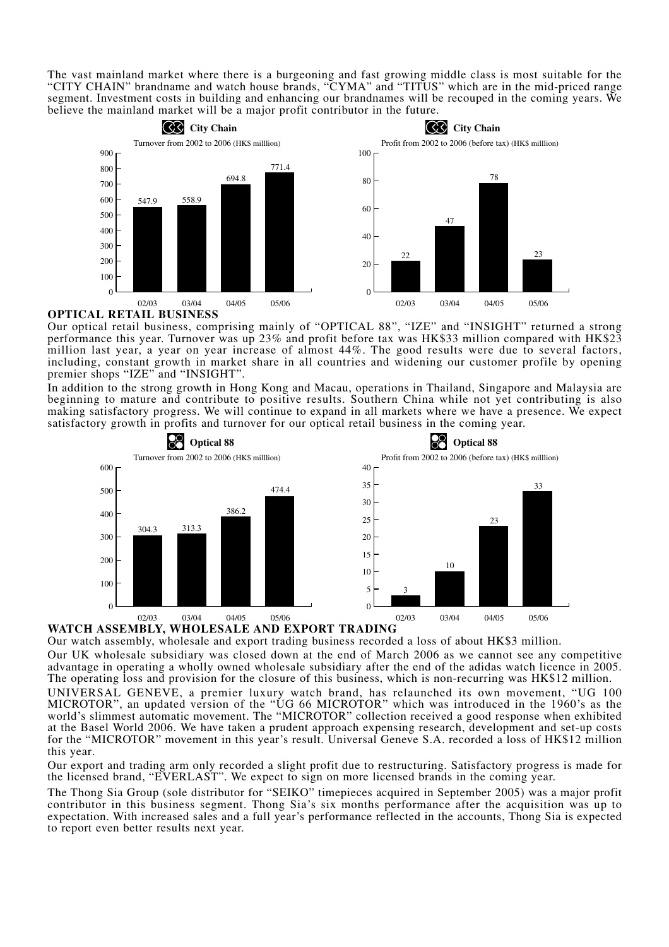The vast mainland market where there is a burgeoning and fast growing middle class is most suitable for the "CITY CHAIN" brandname and watch house brands, "CYMA" and "TITUS" which are in the mid-priced range segment. Investment costs in building and enhancing our brandnames will be recouped in the coming years. We believe the mainland market will be a major profit contributor in the future.



**OPTICAL RETAIL BUSINESS**

Our optical retail business, comprising mainly of "OPTICAL 88", "IZE" and "INSIGHT" returned a strong performance this year. Turnover was up 23% and profit before tax was HK\$33 million compared with HK\$23 million last year, a year on year increase of almost 44%. The good results were due to several factors, including, constant growth in market share in all countries and widening our customer profile by opening premier shops "IZE" and "INSIGHT".

In addition to the strong growth in Hong Kong and Macau, operations in Thailand, Singapore and Malaysia are beginning to mature and contribute to positive results. Southern China while not yet contributing is also making satisfactory progress. We will continue to expand in all markets where we have a presence. We expect satisfactory growth in profits and turnover for our optical retail business in the coming year.



# **WATCH ASSEMBLY, WHOLESALE AND EXPORT TRADING**

Our watch assembly, wholesale and export trading business recorded a loss of about HK\$3 million.

Our UK wholesale subsidiary was closed down at the end of March 2006 as we cannot see any competitive advantage in operating a wholly owned wholesale subsidiary after the end of the adidas watch licence in 2005. The operating loss and provision for the closure of this business, which is non-recurring was HK\$12 million.

UNIVERSAL GENEVE, a premier luxury watch brand, has relaunched its own movement, "UG 100 MICROTOR", an updated version of the "UG 66 MICROTOR" which was introduced in the 1960's as the world's slimmest automatic movement. The "MICROTOR" collection received a good response when exhibited at the Basel World 2006. We have taken a prudent approach expensing research, development and set-up costs for the "MICROTOR" movement in this year's result. Universal Geneve S.A. recorded a loss of HK\$12 million this year.

Our export and trading arm only recorded a slight profit due to restructuring. Satisfactory progress is made for the licensed brand, "EVERLAST". We expect to sign on more licensed brands in the coming year.

The Thong Sia Group (sole distributor for "SEIKO" timepieces acquired in September 2005) was a major profit contributor in this business segment. Thong Sia's six months performance after the acquisition was up to expectation. With increased sales and a full year's performance reflected in the accounts, Thong Sia is expected to report even better results next year.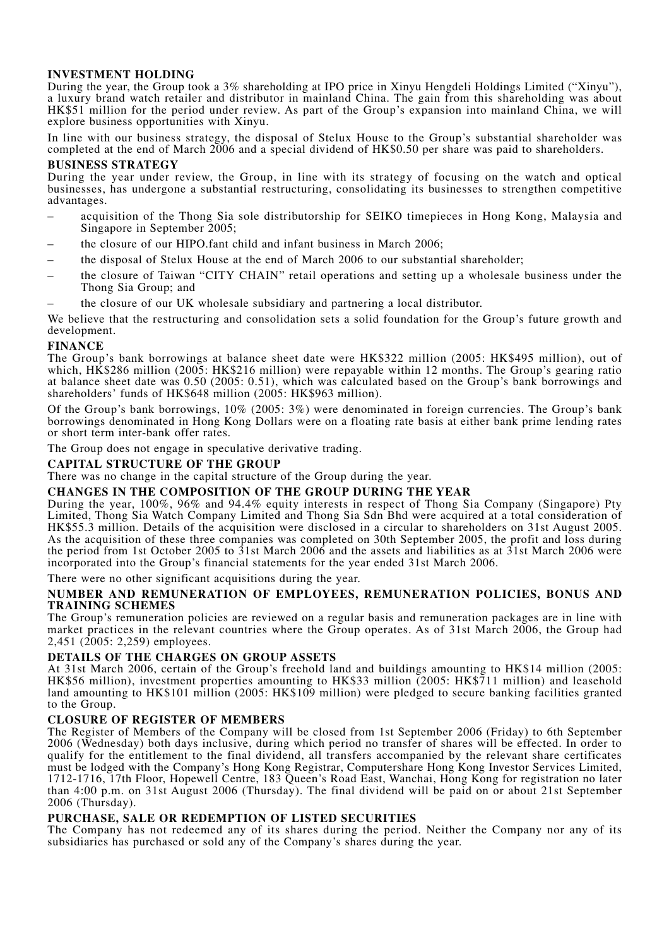# **INVESTMENT HOLDING**

During the year, the Group took a 3% shareholding at IPO price in Xinyu Hengdeli Holdings Limited ("Xinyu"), a luxury brand watch retailer and distributor in mainland China. The gain from this shareholding was about HK\$51 million for the period under review. As part of the Group's expansion into mainland China, we will explore business opportunities with Xinyu.

In line with our business strategy, the disposal of Stelux House to the Group's substantial shareholder was completed at the end of March 2006 and a special dividend of HK\$0.50 per share was paid to shareholders.

## **BUSINESS STRATEGY**

During the year under review, the Group, in line with its strategy of focusing on the watch and optical businesses, has undergone a substantial restructuring, consolidating its businesses to strengthen competitive advantages.

- acquisition of the Thong Sia sole distributorship for SEIKO timepieces in Hong Kong, Malaysia and Singapore in September 2005;
- the closure of our HIPO.fant child and infant business in March 2006;
- the disposal of Stelux House at the end of March 2006 to our substantial shareholder;
- the closure of Taiwan "CITY CHAIN" retail operations and setting up a wholesale business under the Thong Sia Group; and
- the closure of our UK wholesale subsidiary and partnering a local distributor.

We believe that the restructuring and consolidation sets a solid foundation for the Group's future growth and development.

# **FINANCE**

The Group's bank borrowings at balance sheet date were HK\$322 million (2005: HK\$495 million), out of which, HK\$286 million (2005: HK\$216 million) were repayable within 12 months. The Group's gearing ratio at balance sheet date was 0.50 (2005: 0.51), which was calculated based on the Group's bank borrowings and shareholders' funds of HK\$648 million (2005: HK\$963 million).

Of the Group's bank borrowings, 10% (2005: 3%) were denominated in foreign currencies. The Group's bank borrowings denominated in Hong Kong Dollars were on a floating rate basis at either bank prime lending rates or short term inter-bank offer rates.

The Group does not engage in speculative derivative trading.

## **CAPITAL STRUCTURE OF THE GROUP**

There was no change in the capital structure of the Group during the year.

## **CHANGES IN THE COMPOSITION OF THE GROUP DURING THE YEAR**

During the year, 100%, 96% and 94.4% equity interests in respect of Thong Sia Company (Singapore) Pty Limited, Thong Sia Watch Company Limited and Thong Sia Sdn Bhd were acquired at a total consideration of HK\$55.3 million. Details of the acquisition were disclosed in a circular to shareholders on 31st August 2005. As the acquisition of these three companies was completed on 30th September 2005, the profit and loss during the period from 1st October 2005 to 31st March 2006 and the assets and liabilities as at 31st March 2006 were incorporated into the Group's financial statements for the year ended 31st March 2006.

There were no other significant acquisitions during the year.

## **NUMBER AND REMUNERATION OF EMPLOYEES, REMUNERATION POLICIES, BONUS AND TRAINING SCHEMES**

The Group's remuneration policies are reviewed on a regular basis and remuneration packages are in line with market practices in the relevant countries where the Group operates. As of 31st March 2006, the Group had 2,451 (2005: 2,259) employees.

# **DETAILS OF THE CHARGES ON GROUP ASSETS**

At 31st March 2006, certain of the Group's freehold land and buildings amounting to HK\$14 million (2005: HK\$56 million), investment properties amounting to HK\$33 million (2005: HK\$711 million) and leasehold land amounting to HK\$101 million (2005: HK\$109 million) were pledged to secure banking facilities granted to the Group.

## **CLOSURE OF REGISTER OF MEMBERS**

The Register of Members of the Company will be closed from 1st September 2006 (Friday) to 6th September 2006 (Wednesday) both days inclusive, during which period no transfer of shares will be effected. In order to qualify for the entitlement to the final dividend, all transfers accompanied by the relevant share certificates must be lodged with the Company's Hong Kong Registrar, Computershare Hong Kong Investor Services Limited, 1712-1716, 17th Floor, Hopewell Centre, 183 Queen's Road East, Wanchai, Hong Kong for registration no later than 4:00 p.m. on 31st August 2006 (Thursday). The final dividend will be paid on or about 21st September 2006 (Thursday).

# **PURCHASE, SALE OR REDEMPTION OF LISTED SECURITIES**

The Company has not redeemed any of its shares during the period. Neither the Company nor any of its subsidiaries has purchased or sold any of the Company's shares during the year.